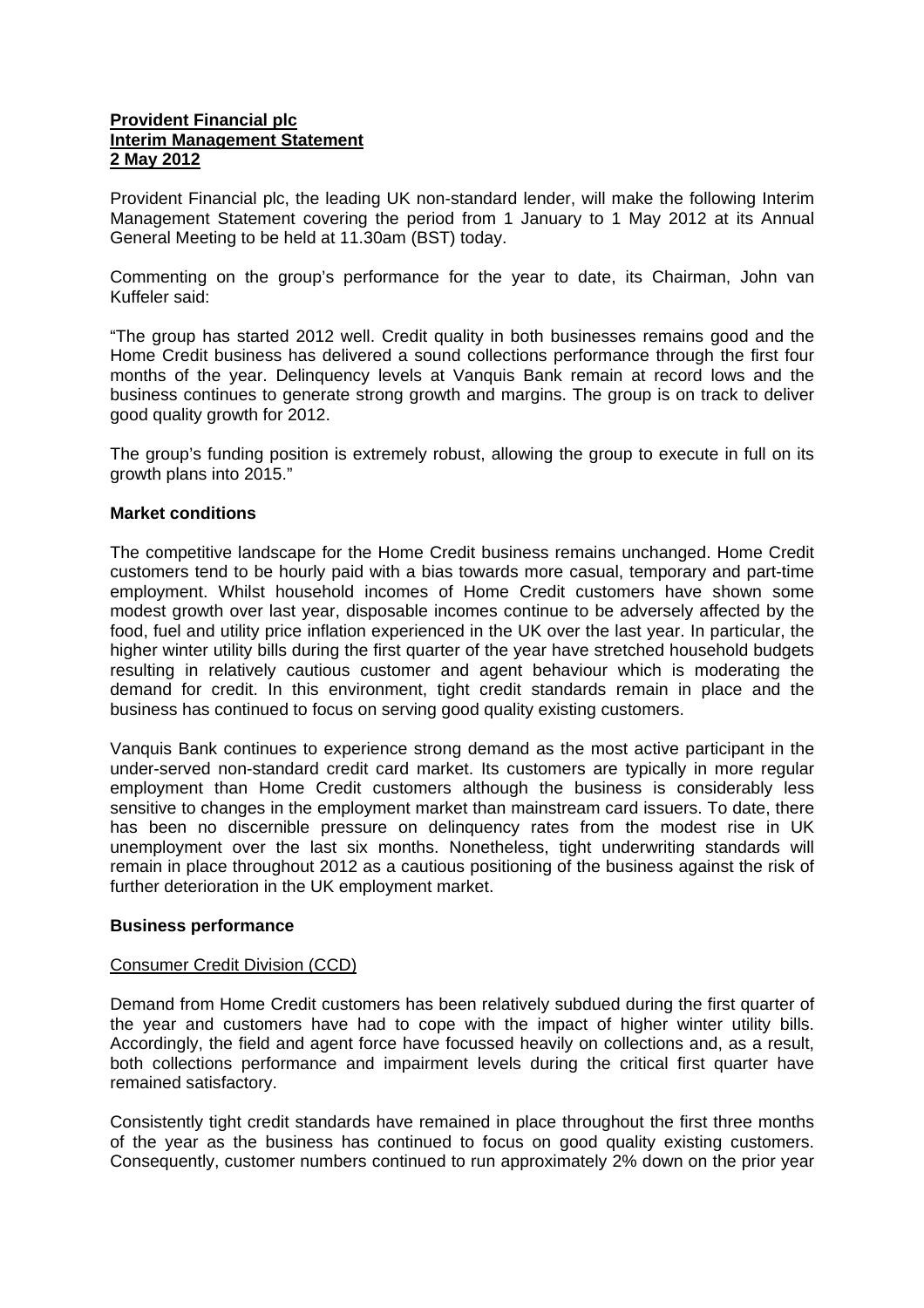### **Provident Financial plc Interim Management Statement 2 May 2012**

Provident Financial plc, the leading UK non-standard lender, will make the following Interim Management Statement covering the period from 1 January to 1 May 2012 at its Annual General Meeting to be held at 11.30am (BST) today.

Commenting on the group's performance for the year to date, its Chairman, John van Kuffeler said:

"The group has started 2012 well. Credit quality in both businesses remains good and the Home Credit business has delivered a sound collections performance through the first four months of the year. Delinquency levels at Vanquis Bank remain at record lows and the business continues to generate strong growth and margins. The group is on track to deliver good quality growth for 2012.

The group's funding position is extremely robust, allowing the group to execute in full on its growth plans into 2015."

#### **Market conditions**

The competitive landscape for the Home Credit business remains unchanged. Home Credit customers tend to be hourly paid with a bias towards more casual, temporary and part-time employment. Whilst household incomes of Home Credit customers have shown some modest growth over last year, disposable incomes continue to be adversely affected by the food, fuel and utility price inflation experienced in the UK over the last year. In particular, the higher winter utility bills during the first quarter of the year have stretched household budgets resulting in relatively cautious customer and agent behaviour which is moderating the demand for credit. In this environment, tight credit standards remain in place and the business has continued to focus on serving good quality existing customers.

Vanquis Bank continues to experience strong demand as the most active participant in the under-served non-standard credit card market. Its customers are typically in more regular employment than Home Credit customers although the business is considerably less sensitive to changes in the employment market than mainstream card issuers. To date, there has been no discernible pressure on delinquency rates from the modest rise in UK unemployment over the last six months. Nonetheless, tight underwriting standards will remain in place throughout 2012 as a cautious positioning of the business against the risk of further deterioration in the UK employment market.

#### **Business performance**

#### Consumer Credit Division (CCD)

Demand from Home Credit customers has been relatively subdued during the first quarter of the year and customers have had to cope with the impact of higher winter utility bills. Accordingly, the field and agent force have focussed heavily on collections and, as a result, both collections performance and impairment levels during the critical first quarter have remained satisfactory.

Consistently tight credit standards have remained in place throughout the first three months of the year as the business has continued to focus on good quality existing customers. Consequently, customer numbers continued to run approximately 2% down on the prior year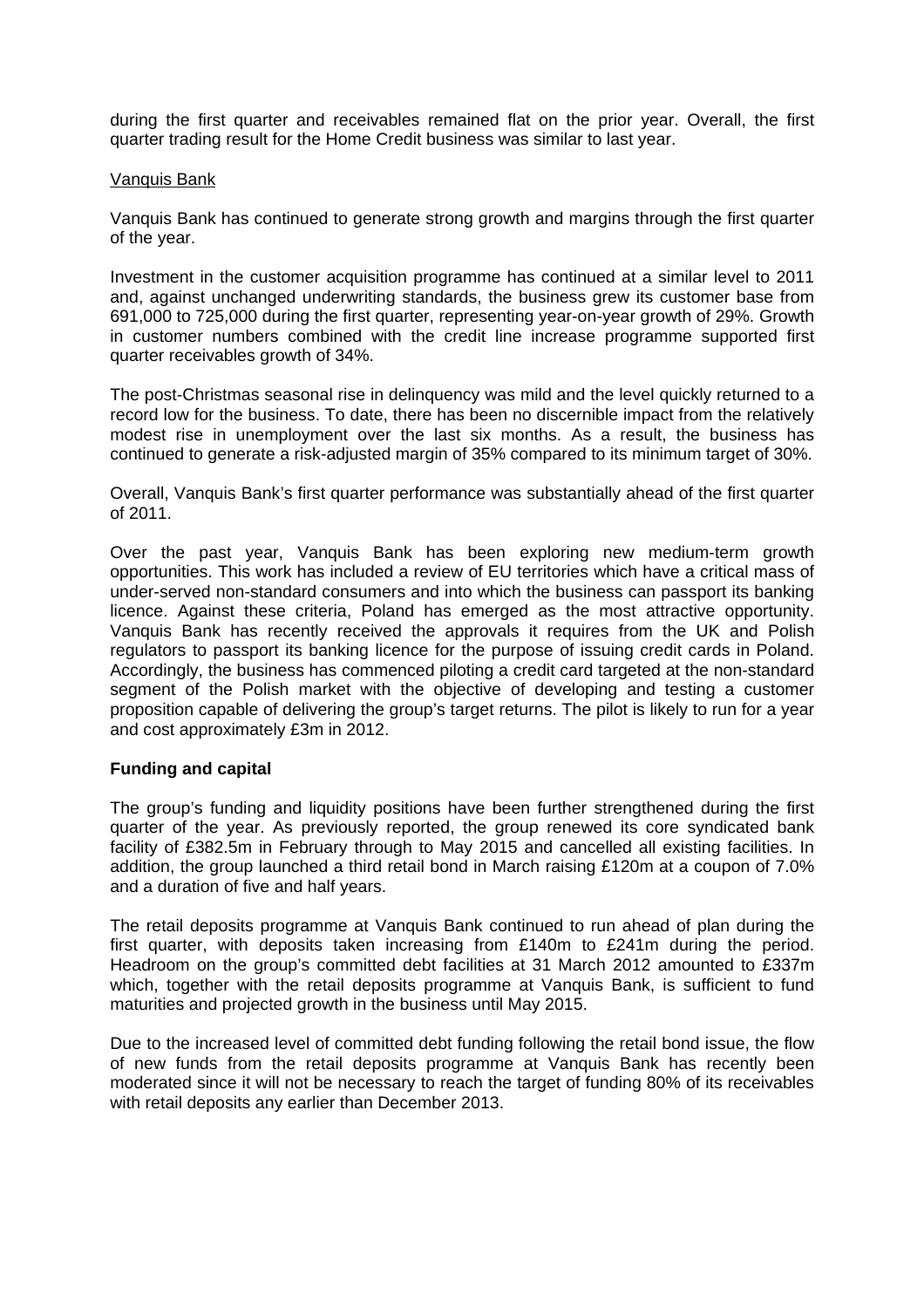during the first quarter and receivables remained flat on the prior year. Overall, the first quarter trading result for the Home Credit business was similar to last year.

#### Vanquis Bank

Vanquis Bank has continued to generate strong growth and margins through the first quarter of the year.

Investment in the customer acquisition programme has continued at a similar level to 2011 and, against unchanged underwriting standards, the business grew its customer base from 691,000 to 725,000 during the first quarter, representing year-on-year growth of 29%. Growth in customer numbers combined with the credit line increase programme supported first quarter receivables growth of 34%.

The post-Christmas seasonal rise in delinquency was mild and the level quickly returned to a record low for the business. To date, there has been no discernible impact from the relatively modest rise in unemployment over the last six months. As a result, the business has continued to generate a risk-adjusted margin of 35% compared to its minimum target of 30%.

Overall, Vanquis Bank's first quarter performance was substantially ahead of the first quarter of 2011.

Over the past year, Vanquis Bank has been exploring new medium-term growth opportunities. This work has included a review of EU territories which have a critical mass of under-served non-standard consumers and into which the business can passport its banking licence. Against these criteria, Poland has emerged as the most attractive opportunity. Vanquis Bank has recently received the approvals it requires from the UK and Polish regulators to passport its banking licence for the purpose of issuing credit cards in Poland. Accordingly, the business has commenced piloting a credit card targeted at the non-standard segment of the Polish market with the objective of developing and testing a customer proposition capable of delivering the group's target returns. The pilot is likely to run for a year and cost approximately £3m in 2012.

#### **Funding and capital**

The group's funding and liquidity positions have been further strengthened during the first quarter of the year. As previously reported, the group renewed its core syndicated bank facility of £382.5m in February through to May 2015 and cancelled all existing facilities. In addition, the group launched a third retail bond in March raising £120m at a coupon of 7.0% and a duration of five and half years.

The retail deposits programme at Vanquis Bank continued to run ahead of plan during the first quarter, with deposits taken increasing from £140m to £241m during the period. Headroom on the group's committed debt facilities at 31 March 2012 amounted to £337m which, together with the retail deposits programme at Vanguis Bank, is sufficient to fund maturities and projected growth in the business until May 2015.

Due to the increased level of committed debt funding following the retail bond issue, the flow of new funds from the retail deposits programme at Vanquis Bank has recently been moderated since it will not be necessary to reach the target of funding 80% of its receivables with retail deposits any earlier than December 2013.